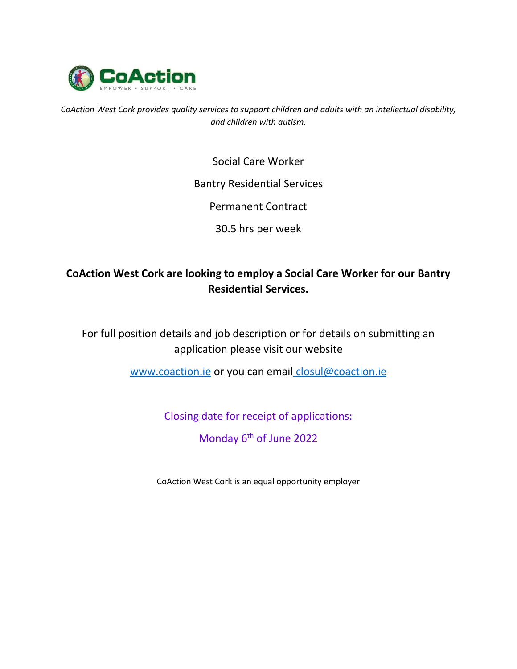

*CoAction West Cork provides quality services to support children and adults with an intellectual disability, and children with autism.*

Social Care Worker

## Bantry Residential Services

Permanent Contract

30.5 hrs per week

# **CoAction West Cork are looking to employ a Social Care Worker for our Bantry Residential Services.**

For full position details and job description or for details on submitting an application please visit our website

[www.coaction.ie](http://www.coaction.ie/) or you can email closul@coaction.ie

Closing date for receipt of applications:

Monday 6<sup>th</sup> of June 2022

CoAction West Cork is an equal opportunity employer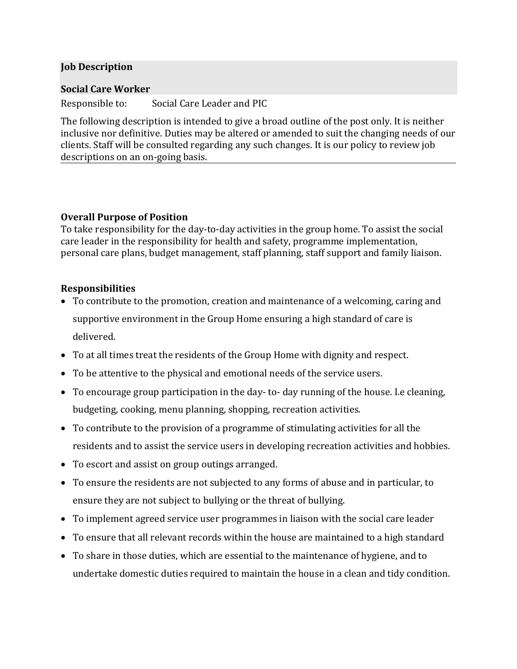### **Job Description**

#### **Social Care Worker**

Responsible to: Social Care Leader and PIC

The following description is intended to give a broad outline of the post only. It is neither inclusive nor definitive. Duties may be altered or amended to suit the changing needs of our clients. Staff will be consulted regarding any such changes. It is our policy to review job descriptions on an on-going basis.

### **Overall Purpose of Position**

To take responsibility for the day-to-day activities in the group home. To assist the social care leader in the responsibility for health and safety, programme implementation, personal care plans, budget management, staff planning, staff support and family liaison.

### **Responsibilities**

- To contribute to the promotion, creation and maintenance of a welcoming, caring and supportive environment in the Group Home ensuring a high standard of care is delivered.
- To at all times treat the residents of the Group Home with dignity and respect.
- To be attentive to the physical and emotional needs of the service users.
- To encourage group participation in the day- to- day running of the house. I.e cleaning, budgeting, cooking, menu planning, shopping, recreation activities.
- To contribute to the provision of a programme of stimulating activities for all the residents and to assist the service users in developing recreation activities and hobbies.
- To escort and assist on group outings arranged.
- To ensure the residents are not subjected to any forms of abuse and in particular, to ensure they are not subject to bullying or the threat of bullying.
- To implement agreed service user programmes in liaison with the social care leader
- To ensure that all relevant records within the house are maintained to a high standard
- To share in those duties, which are essential to the maintenance of hygiene, and to undertake domestic duties required to maintain the house in a clean and tidy condition.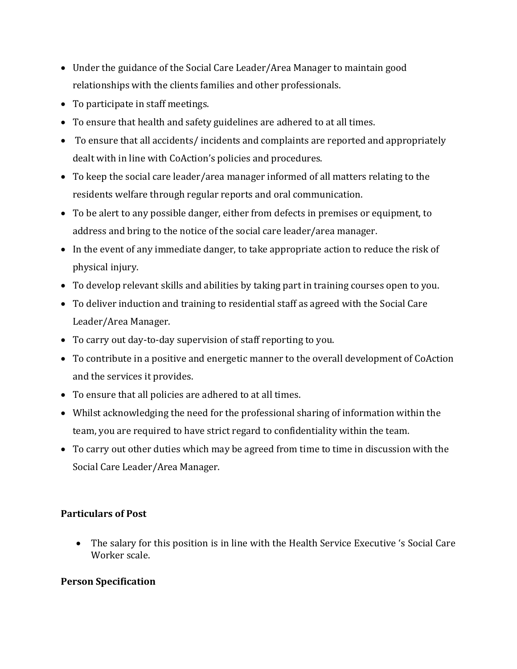- Under the guidance of the Social Care Leader/Area Manager to maintain good relationships with the clients families and other professionals.
- To participate in staff meetings.
- To ensure that health and safety guidelines are adhered to at all times.
- To ensure that all accidents/ incidents and complaints are reported and appropriately dealt with in line with CoAction's policies and procedures.
- To keep the social care leader/area manager informed of all matters relating to the residents welfare through regular reports and oral communication.
- To be alert to any possible danger, either from defects in premises or equipment, to address and bring to the notice of the social care leader/area manager.
- In the event of any immediate danger, to take appropriate action to reduce the risk of physical injury.
- To develop relevant skills and abilities by taking part in training courses open to you.
- To deliver induction and training to residential staff as agreed with the Social Care Leader/Area Manager.
- To carry out day-to-day supervision of staff reporting to you.
- To contribute in a positive and energetic manner to the overall development of CoAction and the services it provides.
- To ensure that all policies are adhered to at all times.
- Whilst acknowledging the need for the professional sharing of information within the team, you are required to have strict regard to confidentiality within the team.
- To carry out other duties which may be agreed from time to time in discussion with the Social Care Leader/Area Manager.

# **Particulars of Post**

 The salary for this position is in line with the Health Service Executive 's Social Care Worker scale.

### **Person Specification**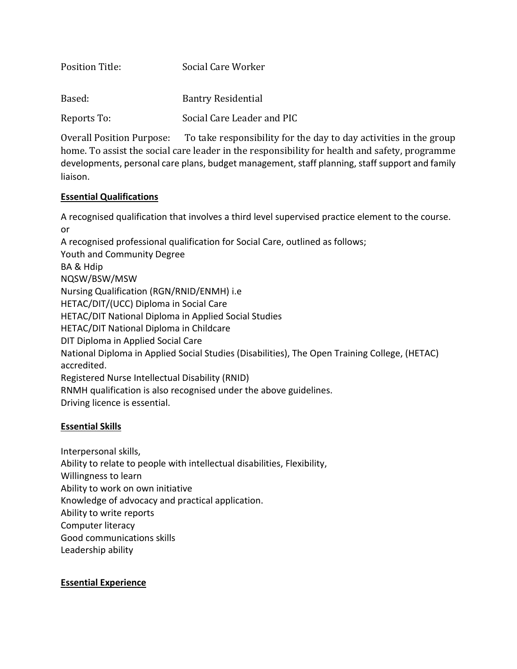| <b>Position Title:</b> | Social Care Worker         |
|------------------------|----------------------------|
| Based:                 | <b>Bantry Residential</b>  |
| Reports To:            | Social Care Leader and PIC |

Overall Position Purpose: To take responsibility for the day to day activities in the group home. To assist the social care leader in the responsibility for health and safety, programme developments, personal care plans, budget management, staff planning, staff support and family liaison.

#### **Essential Qualifications**

A recognised qualification that involves a third level supervised practice element to the course. or A recognised professional qualification for Social Care, outlined as follows; Youth and Community Degree BA & Hdip NQSW/BSW/MSW Nursing Qualification (RGN/RNID/ENMH) i.e HETAC/DIT/(UCC) Diploma in Social Care HETAC/DIT National Diploma in Applied Social Studies HETAC/DIT National Diploma in Childcare DIT Diploma in Applied Social Care National Diploma in Applied Social Studies (Disabilities), The Open Training College, (HETAC) accredited. Registered Nurse Intellectual Disability (RNID) RNMH qualification is also recognised under the above guidelines. Driving licence is essential.

### **Essential Skills**

Interpersonal skills, Ability to relate to people with intellectual disabilities, Flexibility, Willingness to learn Ability to work on own initiative Knowledge of advocacy and practical application. Ability to write reports Computer literacy Good communications skills Leadership ability

### **Essential Experience**